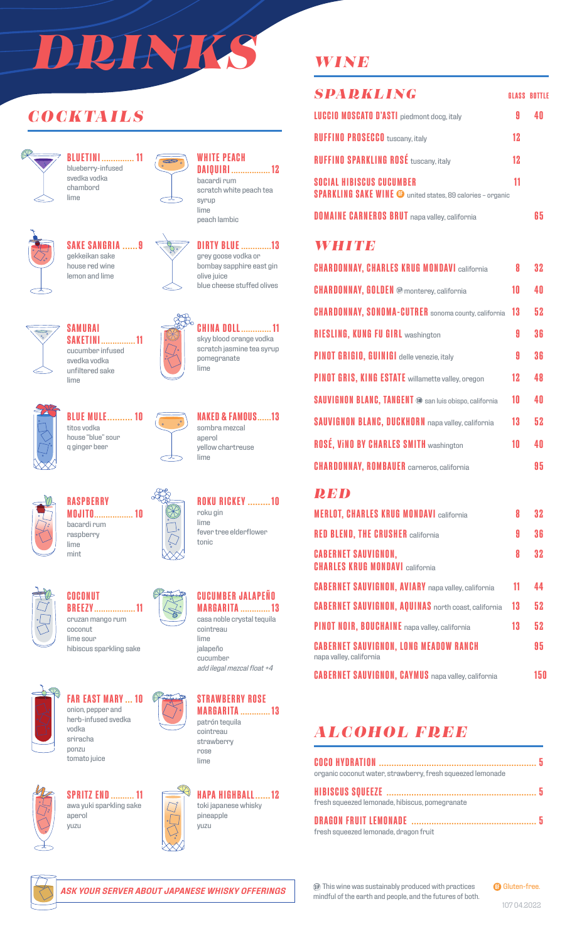# *DRINKS*

 $\infty$ 

# *COCKTAILS*



**BLUETINI .............. 11** blueberry-infused svedka vodka chambord lime



# **SAKE SANGRIA ......9** gekkeikan sake



house red wine lemon and lime





**WHITE PEACH**



grey goose vodka or bombay sapphire east gin olive juice blue cheese stuffed olives



**CHINA DOLL............. 11** skyy blood orange vodka scratch jasmine tea syrup pomegranate lime



**BLUE MULE.......... 10** titos vodka house "blue" sour q ginger beer

**SAMURAI**

svedka vodka unfiltered sake

lime



**NAKED & FAMOUS......13** sombra mezcal aperol yellow chartreuse lime

**ROKU RICKEY .........10**

fever tree elderflower

**CUCUMBER JALAPEÑO**

roku gin lime

tonic



**RASPBERRY MOJITO................. 10** bacardi rum raspberry lime mint



**COCONUT BREEZY.................. 11** cruzan mango rum coconut lime sour

hibiscus sparkling sake



**FAR EAST MARY ... 10** onion, pepper and herb-infused svedka vodka

sriracha ponzu tomato juice



**SPRITZ END.......... 11** awa yuki sparkling sake aperol yuzu





**MARGARITA ............. 13** cointreau strawberry rose lime



# *WINE*

| <b>SPARKLING</b>                                                                                     |    | <b>GLASS BOTTLE</b> |
|------------------------------------------------------------------------------------------------------|----|---------------------|
| <b>LUCCIO MOSCATO D'ASTI</b> piedmont docg, italy                                                    | Я  |                     |
| <b>RUFFINO PROSECCO</b> tuscany, italy                                                               | 12 |                     |
| <b>RUFFINO SPARKLING ROSÉ tuscany, italy</b>                                                         | 12 |                     |
| <b>SOCIAL HIBISCUS CUCUMBER</b><br><b>SPARKLING SAKE WINE @</b> united states, 89 calories - organic | 11 |                     |
| <b>DOMAINE CARNEROS BRUT</b> napa valley, california                                                 |    |                     |

#### *WHITE*

| <b>CHARDONNAY, CHARLES KRUG MONDAVI california</b>            | 8  | 32  |
|---------------------------------------------------------------|----|-----|
| <b>CHARDONNAY, GOLDEN ®</b> monterey, california              | 10 | 4 N |
| <b>CHARDONNAY, SONOMA-CUTRER</b> sonoma county, california    | 13 | 52  |
| <b>RIESLING, KUNG FU GIRL washington</b>                      | 9  | 36  |
| <b>PINOT GRIGIO, GUINIGI</b> delle venezie, italy             | A  | 36  |
| <b>PINOT GRIS, KING ESTATE</b> willamette valley, oregon      | 12 | 48  |
| <b>SAUVIGNON BLANC, TANGENT ®</b> san luis obispo, california | 10 | 40  |
| <b>SAUVIGNON BLANC, DUCKHORN</b> napa valley, california      | 13 | 52  |
| <b>ROSÉ, VINO BY CHARLES SMITH washington</b>                 | 10 | 4 N |
| <b>CHARDONNAY, ROMBAUER</b> carneros, california              |    | 95  |

#### *RED*

| <b>MERLOT, CHARLES KRUG MONDAVI california</b>                          | 8  | 32  |
|-------------------------------------------------------------------------|----|-----|
| <b>RED BLEND, THE CRUSHER california</b>                                | 9  | 36  |
| <b>CABERNET SAUVIGNON,</b><br><b>CHARLES KRUG MONDAVI california</b>    | 8  | 32  |
| <b>CABERNET SAUVIGNON, AVIARY</b> napa valley, california               | 11 | 44  |
| <b>CABERNET SAUVIGNON, AQUINAS</b> north coast, california              | 13 | 52  |
| PINOT NOIR, BOUCHAINE napa valley, california                           | 13 | 52  |
| <b>CABERNET SAUVIGNON, LONG MEADOW RANCH</b><br>napa valley, california |    | 95  |
| <b>CABERNET SAUVIGNON, CAYMUS</b> napa valley, california               |    | 150 |

# *ALCOHOL FREE*

| organic coconut water, strawberry, fresh squeezed lemonade |  |
|------------------------------------------------------------|--|
|                                                            |  |
| fresh squeezed lemonade, hibiscus, pomegranate             |  |
|                                                            |  |
| fresh squeezed lemonade, dragon fruit                      |  |



*ASK YOUR SERVER ABOUT JAPANESE WHISKY OFFERINGS*

This wine was sustainably produced with practices mindful of the earth and people, and the futures of both.



107 04.2022